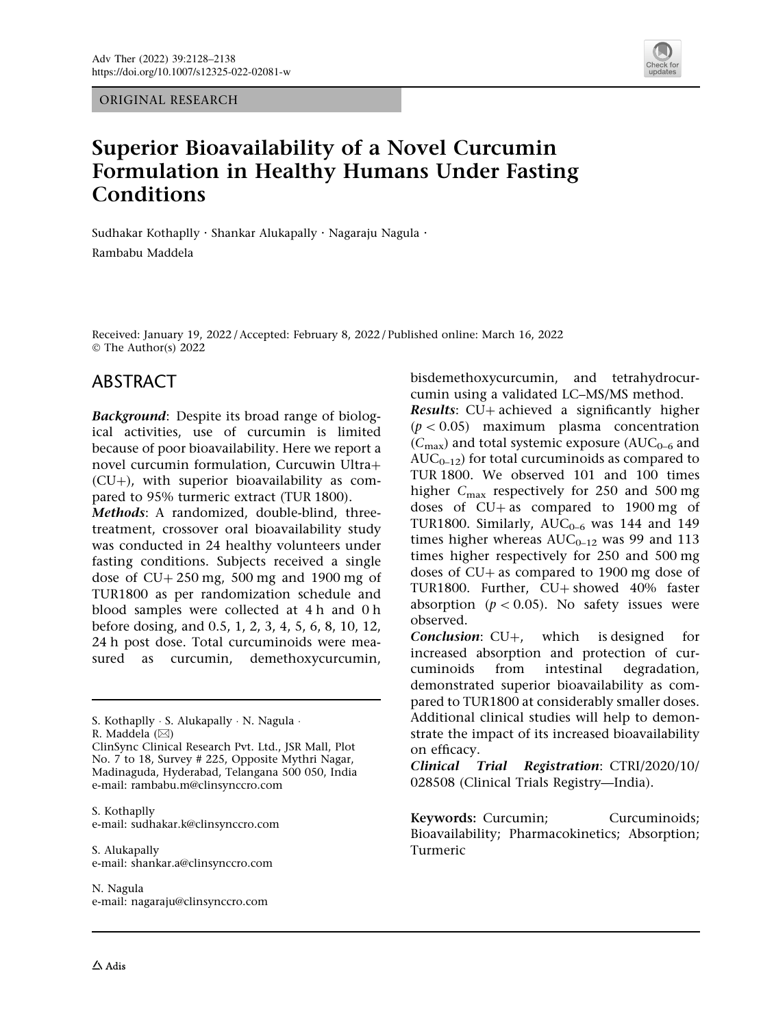ORIGINAL RESEARCH



# Superior Bioavailability of a Novel Curcumin Formulation in Healthy Humans Under Fasting **Conditions**

Sudhakar Kothaplly . Shankar Alukapally . Nagaraju Nagula . Rambabu Maddela

Received: January 19, 2022 / Accepted: February 8, 2022 / Published online: March 16, 2022  $\circ$  The Author(s) 2022

### ABSTRACT

Background: Despite its broad range of biological activities, use of curcumin is limited because of poor bioavailability. Here we report a novel curcumin formulation, Curcuwin Ultra+  $(CU+)$ , with superior bioavailability as compared to 95% turmeric extract (TUR 1800).

Methods: A randomized, double-blind, threetreatment, crossover oral bioavailability study was conducted in 24 healthy volunteers under fasting conditions. Subjects received a single dose of  $CU + 250$  mg, 500 mg and 1900 mg of TUR1800 as per randomization schedule and blood samples were collected at 4 h and 0 h before dosing, and 0.5, 1, 2, 3, 4, 5, 6, 8, 10, 12, 24 h post dose. Total curcuminoids were measured as curcumin, demethoxycurcumin,

S. Kothaplly - S. Alukapally - N. Nagula - R. Maddela (&)

ClinSync Clinical Research Pvt. Ltd., JSR Mall, Plot No. 7 to 18, Survey # 225, Opposite Mythri Nagar, Madinaguda, Hyderabad, Telangana 500 050, India e-mail: rambabu.m@clinsynccro.com

S. Kothaplly e-mail: sudhakar.k@clinsynccro.com

S. Alukapally e-mail: shankar.a@clinsynccro.com

N. Nagula e-mail: nagaraju@clinsynccro.com bisdemethoxycurcumin, and tetrahydrocurcumin using a validated LC–MS/MS method.

**Results:**  $CU+$  achieved a significantly higher  $(p < 0.05)$  maximum plasma concentration  $(C_{\text{max}})$  and total systemic exposure (AUC<sub>0–6</sub> and  $AUC_{0-12}$ ) for total curcuminoids as compared to TUR 1800. We observed 101 and 100 times higher  $C_{\text{max}}$  respectively for 250 and 500 mg doses of  $CU + as$  compared to 1900 mg of TUR1800. Similarly,  $AUC_{0-6}$  was 144 and 149 times higher whereas  $AUC_{0-12}$  was 99 and 113 times higher respectively for 250 and 500 mg doses of  $CU +$  as compared to 1900 mg dose of TUR1800. Further, CU+ showed 40% faster absorption ( $p < 0.05$ ). No safety issues were observed.

**Conclusion:**  $CU+$ , which is designed for increased absorption and protection of curcuminoids from intestinal degradation, demonstrated superior bioavailability as compared to TUR1800 at considerably smaller doses. Additional clinical studies will help to demonstrate the impact of its increased bioavailability on efficacy.

Clinical Trial Registration: CTRI/2020/10/ 028508 (Clinical Trials Registry—India).

Keywords: Curcumin; Curcuminoids; Bioavailability; Pharmacokinetics; Absorption; Turmeric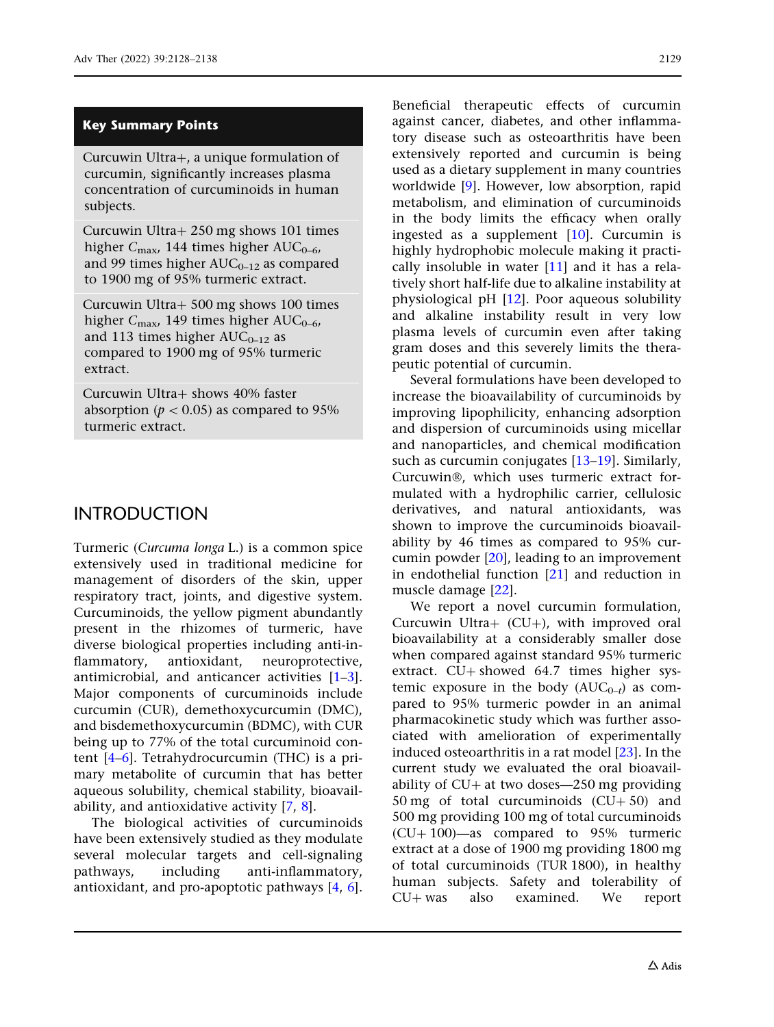#### Key Summary Points

Curcuwin Ultra $+$ , a unique formulation of curcumin, significantly increases plasma concentration of curcuminoids in human subjects.

Curcuwin Ultra $+$  250 mg shows 101 times higher  $C_{\text{max}}$ , 144 times higher AUC<sub>0-6</sub>, and 99 times higher  $AUC_{0-12}$  as compared to 1900 mg of 95% turmeric extract.

Curcuwin Ultra? 500 mg shows 100 times higher  $C_{\text{max}}$ , 149 times higher AUC<sub>0-6</sub>, and 113 times higher  $AUC_{0-12}$  as compared to 1900 mg of 95% turmeric extract.

Curcuwin Ultra? shows 40% faster absorption ( $p < 0.05$ ) as compared to 95% turmeric extract.

### INTRODUCTION

Turmeric (Curcuma longa L.) is a common spice extensively used in traditional medicine for management of disorders of the skin, upper respiratory tract, joints, and digestive system. Curcuminoids, the yellow pigment abundantly present in the rhizomes of turmeric, have diverse biological properties including anti-inflammatory, antioxidant, neuroprotective, antimicrobial, and anticancer activities [[1–3\]](#page-9-0). Major components of curcuminoids include curcumin (CUR), demethoxycurcumin (DMC), and bisdemethoxycurcumin (BDMC), with CUR being up to 77% of the total curcuminoid content [[4–6](#page-9-0)]. Tetrahydrocurcumin (THC) is a primary metabolite of curcumin that has better aqueous solubility, chemical stability, bioavailability, and antioxidative activity [[7,](#page-9-0) [8\]](#page-9-0).

The biological activities of curcuminoids have been extensively studied as they modulate several molecular targets and cell-signaling pathways, including anti-inflammatory, antioxidant, and pro-apoptotic pathways [\[4](#page-9-0), [6\]](#page-9-0).

Beneficial therapeutic effects of curcumin against cancer, diabetes, and other inflammatory disease such as osteoarthritis have been extensively reported and curcumin is being used as a dietary supplement in many countries worldwide [\[9\]](#page-9-0). However, low absorption, rapid metabolism, and elimination of curcuminoids in the body limits the efficacy when orally ingested as a supplement  $[10]$ . Curcumin is highly hydrophobic molecule making it practically insoluble in water  $[11]$  and it has a relatively short half-life due to alkaline instability at physiological pH [[12](#page-9-0)]. Poor aqueous solubility and alkaline instability result in very low plasma levels of curcumin even after taking gram doses and this severely limits the therapeutic potential of curcumin.

Several formulations have been developed to increase the bioavailability of curcuminoids by improving lipophilicity, enhancing adsorption and dispersion of curcuminoids using micellar and nanoparticles, and chemical modification such as curcumin conjugates [[13](#page-9-0)[–19\]](#page-10-0). Similarly, Curcuwin®, which uses turmeric extract formulated with a hydrophilic carrier, cellulosic derivatives, and natural antioxidants, was shown to improve the curcuminoids bioavailability by 46 times as compared to 95% curcumin powder [[20](#page-10-0)], leading to an improvement in endothelial function [[21](#page-10-0)] and reduction in muscle damage [[22](#page-10-0)].

We report a novel curcumin formulation, Curcuwin Ultra+  $(CU+)$ , with improved oral bioavailability at a considerably smaller dose when compared against standard 95% turmeric extract.  $CU+$  showed 64.7 times higher systemic exposure in the body  $(AUC_{0-t})$  as compared to 95% turmeric powder in an animal pharmacokinetic study which was further associated with amelioration of experimentally induced osteoarthritis in a rat model [\[23\]](#page-10-0). In the current study we evaluated the oral bioavailability of  $CU+$  at two doses—250 mg providing 50 mg of total curcuminoids  $(CU+50)$  and 500 mg providing 100 mg of total curcuminoids  $(CU+100)$ —as compared to 95% turmeric extract at a dose of 1900 mg providing 1800 mg of total curcuminoids (TUR 1800), in healthy human subjects. Safety and tolerability of  $CU+$  was also examined. We report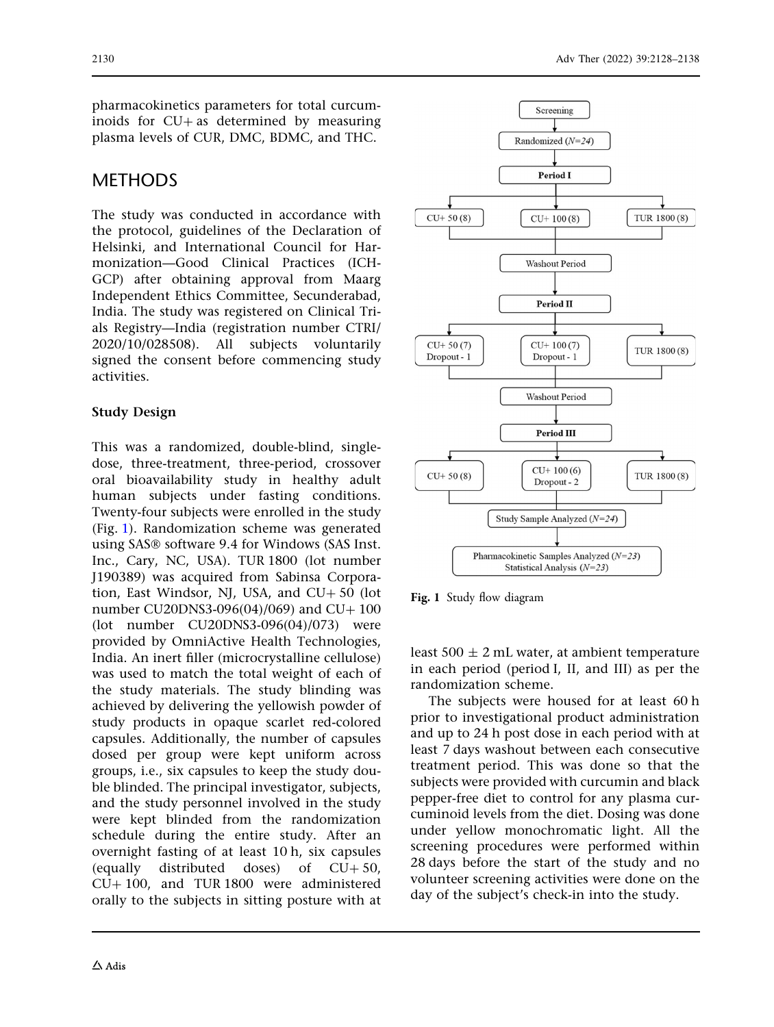<span id="page-2-0"></span>pharmacokinetics parameters for total curcuminoids for  $CU + as$  determined by measuring plasma levels of CUR, DMC, BDMC, and THC.

### **METHODS**

The study was conducted in accordance with the protocol, guidelines of the Declaration of Helsinki, and International Council for Harmonization—Good Clinical Practices (ICH-GCP) after obtaining approval from Maarg Independent Ethics Committee, Secunderabad, India. The study was registered on Clinical Trials Registry—India (registration number CTRI/ 2020/10/028508). All subjects voluntarily signed the consent before commencing study activities.

#### Study Design

This was a randomized, double-blind, singledose, three-treatment, three-period, crossover oral bioavailability study in healthy adult human subjects under fasting conditions. Twenty-four subjects were enrolled in the study (Fig. 1). Randomization scheme was generated using SAS® software 9.4 for Windows (SAS Inst. Inc., Cary, NC, USA). TUR 1800 (lot number J190389) was acquired from Sabinsa Corporation, East Windsor, NJ, USA, and  $CU + 50$  (lot number CU20DNS3-096(04)/069) and CU $+$ 100 (lot number CU20DNS3-096(04)/073) were provided by OmniActive Health Technologies, India. An inert filler (microcrystalline cellulose) was used to match the total weight of each of the study materials. The study blinding was achieved by delivering the yellowish powder of study products in opaque scarlet red-colored capsules. Additionally, the number of capsules dosed per group were kept uniform across groups, i.e., six capsules to keep the study double blinded. The principal investigator, subjects, and the study personnel involved in the study were kept blinded from the randomization schedule during the entire study. After an overnight fasting of at least 10 h, six capsules (equally distributed doses) of  $CU+50$ ,  $CU+100$ , and TUR 1800 were administered orally to the subjects in sitting posture with at



Fig. 1 Study flow diagram

least  $500 \pm 2$  mL water, at ambient temperature in each period (period I, II, and III) as per the randomization scheme.

The subjects were housed for at least 60 h prior to investigational product administration and up to 24 h post dose in each period with at least 7 days washout between each consecutive treatment period. This was done so that the subjects were provided with curcumin and black pepper-free diet to control for any plasma curcuminoid levels from the diet. Dosing was done under yellow monochromatic light. All the screening procedures were performed within 28 days before the start of the study and no volunteer screening activities were done on the day of the subject's check-in into the study.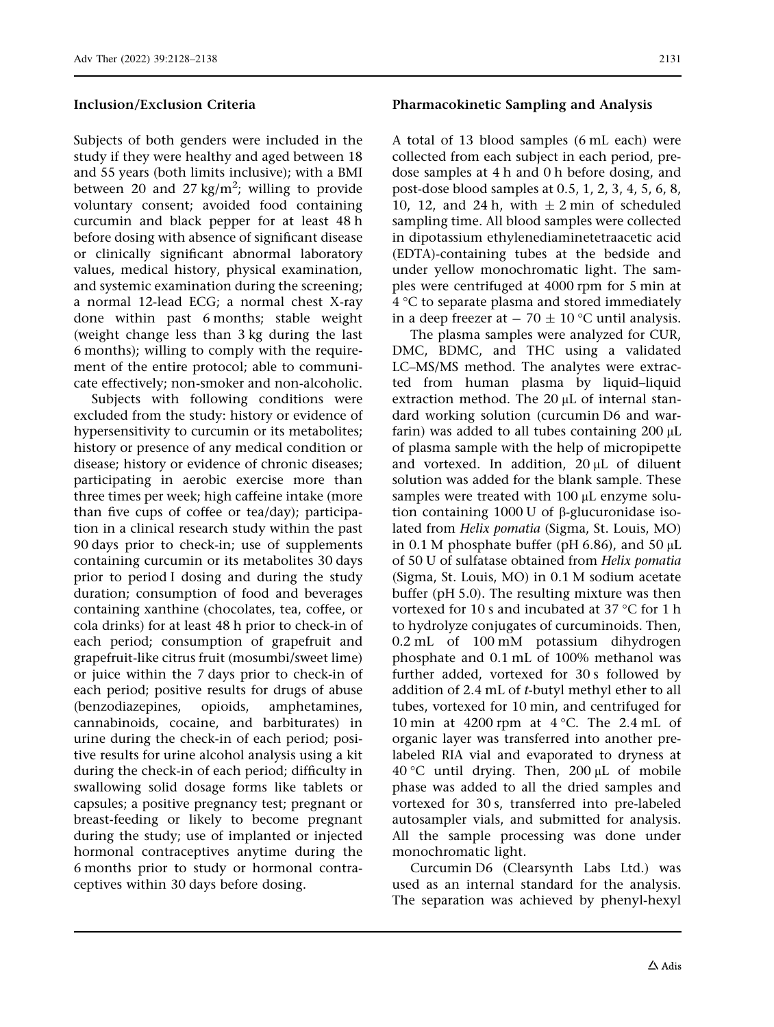#### Inclusion/Exclusion Criteria

Subjects of both genders were included in the study if they were healthy and aged between 18 and 55 years (both limits inclusive); with a BMI between 20 and 27 kg/m<sup>2</sup>; willing to provide voluntary consent; avoided food containing curcumin and black pepper for at least 48 h before dosing with absence of significant disease or clinically significant abnormal laboratory values, medical history, physical examination, and systemic examination during the screening; a normal 12-lead ECG; a normal chest X-ray done within past 6 months; stable weight (weight change less than 3 kg during the last 6 months); willing to comply with the requirement of the entire protocol; able to communicate effectively; non-smoker and non-alcoholic.

Subjects with following conditions were excluded from the study: history or evidence of hypersensitivity to curcumin or its metabolites; history or presence of any medical condition or disease; history or evidence of chronic diseases; participating in aerobic exercise more than three times per week; high caffeine intake (more than five cups of coffee or tea/day); participation in a clinical research study within the past 90 days prior to check-in; use of supplements containing curcumin or its metabolites 30 days prior to period I dosing and during the study duration; consumption of food and beverages containing xanthine (chocolates, tea, coffee, or cola drinks) for at least 48 h prior to check-in of each period; consumption of grapefruit and grapefruit-like citrus fruit (mosumbi/sweet lime) or juice within the 7 days prior to check-in of each period; positive results for drugs of abuse (benzodiazepines, opioids, amphetamines, cannabinoids, cocaine, and barbiturates) in urine during the check-in of each period; positive results for urine alcohol analysis using a kit during the check-in of each period; difficulty in swallowing solid dosage forms like tablets or capsules; a positive pregnancy test; pregnant or breast-feeding or likely to become pregnant during the study; use of implanted or injected hormonal contraceptives anytime during the 6 months prior to study or hormonal contraceptives within 30 days before dosing.

#### Pharmacokinetic Sampling and Analysis

A total of 13 blood samples (6 mL each) were collected from each subject in each period, predose samples at 4 h and 0 h before dosing, and post-dose blood samples at 0.5, 1, 2, 3, 4, 5, 6, 8, 10, 12, and 24 h, with  $\pm$  2 min of scheduled sampling time. All blood samples were collected in dipotassium ethylenediaminetetraacetic acid (EDTA)-containing tubes at the bedside and under yellow monochromatic light. The samples were centrifuged at 4000 rpm for 5 min at  $4^{\circ}$ C to separate plasma and stored immediately in a deep freezer at  $-70 \pm 10$  °C until analysis.

The plasma samples were analyzed for CUR, DMC, BDMC, and THC using a validated LC–MS/MS method. The analytes were extracted from human plasma by liquid–liquid extraction method. The  $20 \mu L$  of internal standard working solution (curcumin D6 and warfarin) was added to all tubes containing  $200 \mu L$ of plasma sample with the help of micropipette and vortexed. In addition,  $20 \mu L$  of diluent solution was added for the blank sample. These samples were treated with  $100 \mu$ L enzyme solution containing 1000 U of  $\beta$ -glucuronidase isolated from Helix pomatia (Sigma, St. Louis, MO) in 0.1 M phosphate buffer (pH 6.86), and 50  $\mu$ L of 50 U of sulfatase obtained from Helix pomatia (Sigma, St. Louis, MO) in 0.1 M sodium acetate buffer (pH 5.0). The resulting mixture was then vortexed for 10 s and incubated at 37  $\degree$ C for 1 h to hydrolyze conjugates of curcuminoids. Then, 0.2 mL of 100 mM potassium dihydrogen phosphate and 0.1 mL of 100% methanol was further added, vortexed for 30 s followed by addition of 2.4 mL of t-butyl methyl ether to all tubes, vortexed for 10 min, and centrifuged for 10 min at 4200 rpm at  $4^{\circ}$ C. The 2.4 mL of organic layer was transferred into another prelabeled RIA vial and evaporated to dryness at 40 °C until drying. Then,  $200 \mu L$  of mobile phase was added to all the dried samples and vortexed for 30 s, transferred into pre-labeled autosampler vials, and submitted for analysis. All the sample processing was done under monochromatic light.

Curcumin D6 (Clearsynth Labs Ltd.) was used as an internal standard for the analysis. The separation was achieved by phenyl-hexyl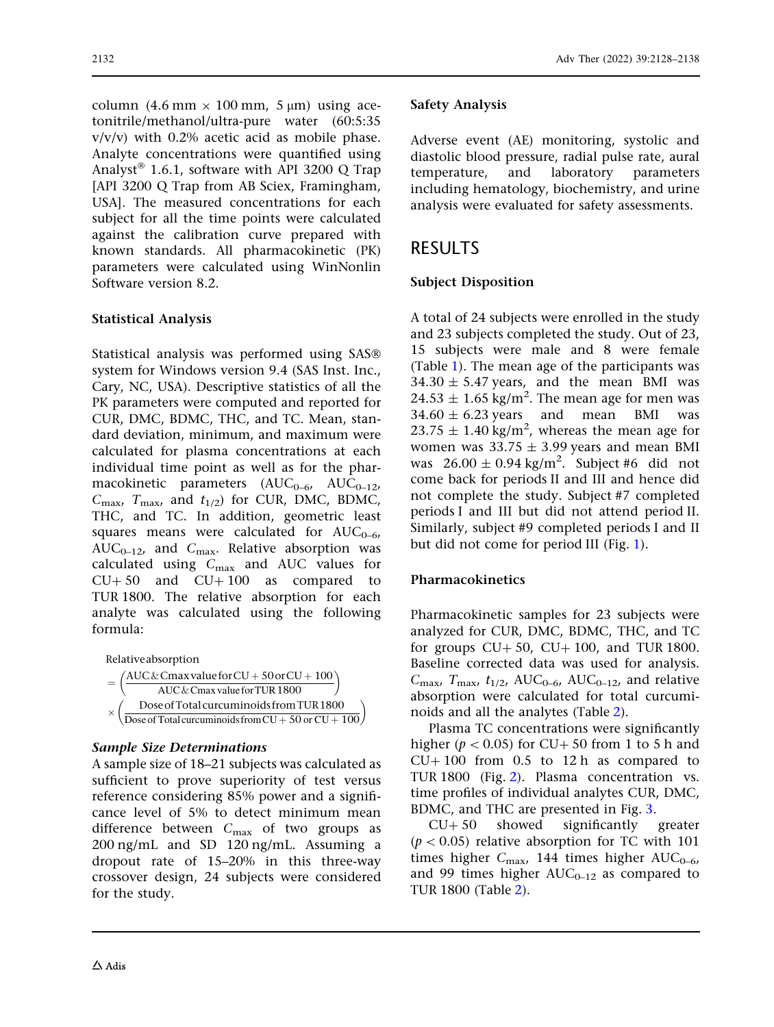column (4.6 mm  $\times$  100 mm, 5 µm) using acetonitrile/methanol/ultra-pure water (60:5:35  $v/v/v$ ) with 0.2% acetic acid as mobile phase. Analyte concentrations were quantified using Analyst<sup>®</sup> 1.6.1, software with API 3200 Q Trap [API 3200 Q Trap from AB Sciex, Framingham, USA]. The measured concentrations for each subject for all the time points were calculated against the calibration curve prepared with known standards. All pharmacokinetic (PK) parameters were calculated using WinNonlin Software version 8.2.

### Statistical Analysis

Statistical analysis was performed using SAS system for Windows version 9.4 (SAS Inst. Inc., Cary, NC, USA). Descriptive statistics of all the PK parameters were computed and reported for CUR, DMC, BDMC, THC, and TC. Mean, standard deviation, minimum, and maximum were calculated for plasma concentrations at each individual time point as well as for the pharmacokinetic parameters  $(AUC_{0-6}, AUC_{0-12},$  $C_{\text{max}}$ ,  $T_{\text{max}}$ , and  $t_{1/2}$ ) for CUR, DMC, BDMC, THC, and TC. In addition, geometric least squares means were calculated for  $AUC_{0-6}$ ,  $AUC_{0-12}$ , and  $C_{\text{max}}$ . Relative absorption was calculated using  $C_{\text{max}}$  and AUC values for  $CU+50$  and  $CU+100$  as compared to TUR 1800. The relative absorption for each analyte was calculated using the following formula:

| Relative absorption                                                                                                                   |
|---------------------------------------------------------------------------------------------------------------------------------------|
| $\left(\frac{\text{AUC\&Cmax value for CU + 50 or CU + 100}}{\text{AUC\&Cmax value for TUR 1800}}\right)$                             |
|                                                                                                                                       |
|                                                                                                                                       |
| $\left(\frac{\text{Dose of Total curcuminoids from TUR 1800}}{\text{Dose of Total curcuminoids from CU}+50 \text{ or CU}+100}\right)$ |

#### Sample Size Determinations

A sample size of 18–21 subjects was calculated as sufficient to prove superiority of test versus reference considering 85% power and a significance level of 5% to detect minimum mean difference between  $C_{\text{max}}$  of two groups as 200 ng/mL and SD 120 ng/mL. Assuming a dropout rate of 15–20% in this three-way crossover design, 24 subjects were considered for the study.

### Safety Analysis

Adverse event (AE) monitoring, systolic and diastolic blood pressure, radial pulse rate, aural temperature, and laboratory parameters including hematology, biochemistry, and urine analysis were evaluated for safety assessments.

# RESULTS

### Subject Disposition

A total of 24 subjects were enrolled in the study and 23 subjects completed the study. Out of 23, 15 subjects were male and 8 were female (Table [1\)](#page-5-0). The mean age of the participants was  $34.30 \pm 5.47$  years, and the mean BMI was  $24.53 \pm 1.65$  kg/m<sup>2</sup>. The mean age for men was  $34.60 \pm 6.23$  years and mean BMI was  $23.75 \pm 1.40$  kg/m<sup>2</sup>, whereas the mean age for women was  $33.75 \pm 3.99$  years and mean BMI was  $26.00 \pm 0.94$  kg/m<sup>2</sup>. Subject #6 did not come back for periods II and III and hence did not complete the study. Subject #7 completed periods I and III but did not attend period II. Similarly, subject #9 completed periods I and II but did not come for period III (Fig. [1\)](#page-2-0).

### Pharmacokinetics

Pharmacokinetic samples for 23 subjects were analyzed for CUR, DMC, BDMC, THC, and TC for groups  $CU+50$ ,  $CU+100$ , and TUR 1800. Baseline corrected data was used for analysis.  $C_{\text{max}}$ ,  $T_{\text{max}}$ ,  $t_{1/2}$ , AUC<sub>0–6</sub>, AUC<sub>0–12</sub>, and relative absorption were calculated for total curcuminoids and all the analytes (Table [2\)](#page-6-0).

Plasma TC concentrations were significantly higher ( $p \lt 0.05$ ) for CU+ 50 from 1 to 5 h and  $CU+100$  from 0.5 to 12 h as compared to TUR 1800 (Fig. [2\)](#page-7-0). Plasma concentration vs. time profiles of individual analytes CUR, DMC, BDMC, and THC are presented in Fig. [3.](#page-7-0)

 $CU + 50$  showed significantly greater  $(p < 0.05)$  relative absorption for TC with 101 times higher  $C_{\text{max}}$ , 144 times higher AUC<sub>0-6</sub>, and 99 times higher  $AUC_{0-12}$  as compared to TUR 1800 (Table [2\)](#page-6-0).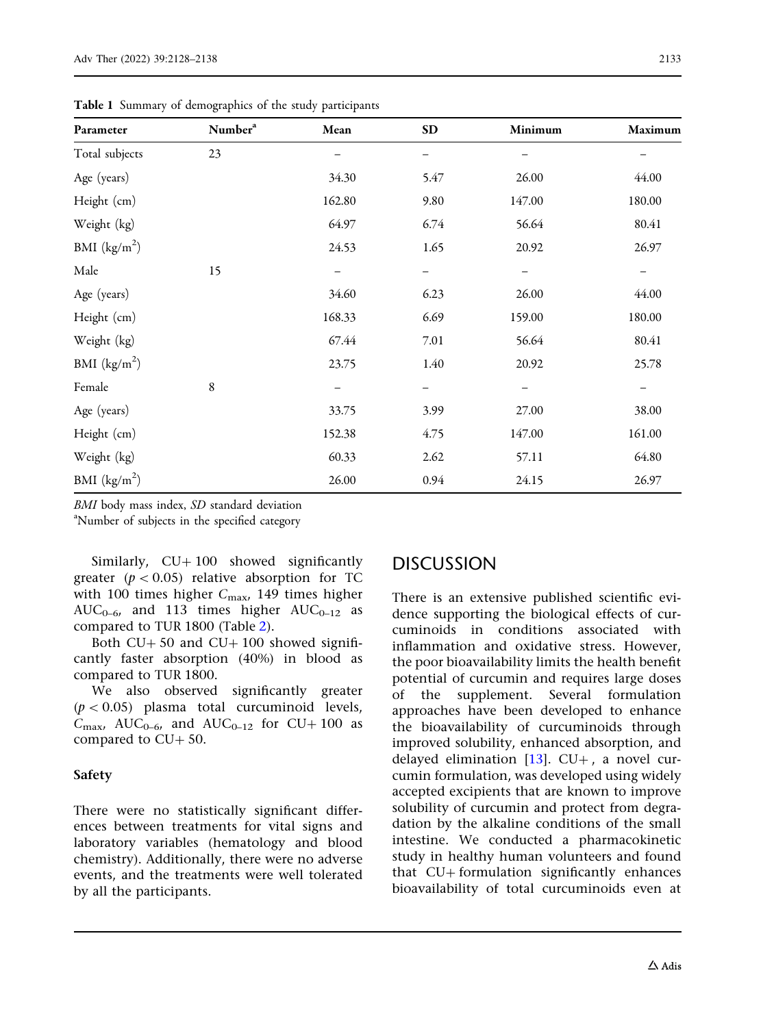| Parameter      | Number <sup>a</sup> | Mean   | <b>SD</b> | Minimum           | Maximum           |
|----------------|---------------------|--------|-----------|-------------------|-------------------|
| Total subjects | 23                  |        |           |                   |                   |
| Age (years)    |                     | 34.30  | 5.47      | 26.00             | 44.00             |
| Height (cm)    |                     | 162.80 | 9.80      | 147.00            | 180.00            |
| Weight (kg)    |                     | 64.97  | 6.74      | 56.64             | 80.41             |
| BMI $(kg/m2)$  |                     | 24.53  | 1.65      | 20.92             | 26.97             |
| Male           | 15                  |        |           |                   |                   |
| Age (years)    |                     | 34.60  | 6.23      | 26.00             | 44.00             |
| Height (cm)    |                     | 168.33 | 6.69      | 159.00            | 180.00            |
| Weight (kg)    |                     | 67.44  | 7.01      | 56.64             | 80.41             |
| BMI $(kg/m2)$  |                     | 23.75  | 1.40      | 20.92             | 25.78             |
| Female         | 8                   | —      | —         | $\qquad \qquad -$ | $\qquad \qquad -$ |
| Age (years)    |                     | 33.75  | 3.99      | 27.00             | 38.00             |
| Height (cm)    |                     | 152.38 | 4.75      | 147.00            | 161.00            |
| Weight (kg)    |                     | 60.33  | 2.62      | 57.11             | 64.80             |
| BMI $(kg/m^2)$ |                     | 26.00  | 0.94      | 24.15             | 26.97             |

<span id="page-5-0"></span>Table 1 Summary of demographics of the study participants

BMI body mass index, SD standard deviation

Number of subjects in the specified category

Similarly,  $CU+100$  showed significantly greater ( $p < 0.05$ ) relative absorption for TC with 100 times higher  $C_{\text{max}}$ , 149 times higher  $AUC_{0-6}$ , and 113 times higher  $AUC_{0-12}$  as compared to TUR 1800 (Table [2](#page-6-0)).

Both  $CU + 50$  and  $CU + 100$  showed significantly faster absorption (40%) in blood as compared to TUR 1800.

We also observed significantly greater  $(p < 0.05)$  plasma total curcuminoid levels,  $C_{\text{max}}$ , AUC<sub>0-6</sub>, and AUC<sub>0-12</sub> for CU+100 as compared to  $CU + 50$ .

#### Safety

There were no statistically significant differences between treatments for vital signs and laboratory variables (hematology and blood chemistry). Additionally, there were no adverse events, and the treatments were well tolerated by all the participants.

# **DISCUSSION**

There is an extensive published scientific evidence supporting the biological effects of curcuminoids in conditions associated with inflammation and oxidative stress. However, the poor bioavailability limits the health benefit potential of curcumin and requires large doses of the supplement. Several formulation approaches have been developed to enhance the bioavailability of curcuminoids through improved solubility, enhanced absorption, and delayed elimination  $[13]$  $[13]$  $[13]$ . CU+, a novel curcumin formulation, was developed using widely accepted excipients that are known to improve solubility of curcumin and protect from degradation by the alkaline conditions of the small intestine. We conducted a pharmacokinetic study in healthy human volunteers and found that  $CU$ + formulation significantly enhances bioavailability of total curcuminoids even at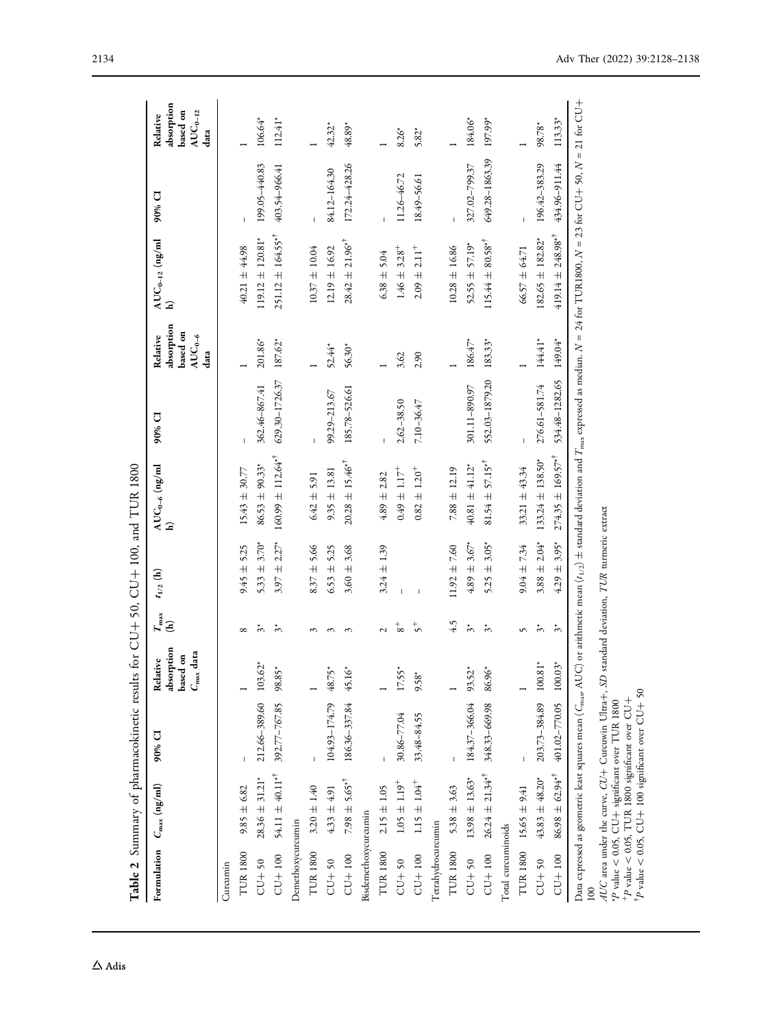<span id="page-6-0"></span>

|                      | Table 2 Summary of pharmacokinetic results for CU+ 50, CU+ 100, and TUR 1800                       |                          |                                                          |                       |                                          |                                                     |                |                                                                |                                                                                                                                                              |                |                                                                |
|----------------------|----------------------------------------------------------------------------------------------------|--------------------------|----------------------------------------------------------|-----------------------|------------------------------------------|-----------------------------------------------------|----------------|----------------------------------------------------------------|--------------------------------------------------------------------------------------------------------------------------------------------------------------|----------------|----------------------------------------------------------------|
|                      | Formulation $C_{\text{max}}$ (ng/ml)                                                               | $90\%$ CI                | absorption<br>$C_{\rm max}$ data<br>based on<br>Relative | $T_{\rm max}$ (h)     | $t_{1/2}~(\mathrm{h})$                   | $\frac{\text{AUC}_{0-6} \text{ (ng/ml}}{\text{h)}}$ | 90% CI         | absorption<br>based on<br>$AUC_{0-\delta}$<br>Relative<br>data | $AUC_{0-12}$ (ng/ml<br>$\widehat{\mathbf{h}}$                                                                                                                | 90% CI         | absorption<br>based on<br>$\rm AUC_{0-12}$<br>Relative<br>data |
| Curcumin             |                                                                                                    |                          |                                                          |                       |                                          |                                                     |                |                                                                |                                                                                                                                                              |                |                                                                |
| <b>TUR1800</b>       | $9.85 \pm 6.82$                                                                                    |                          |                                                          | $\infty$              | $9.45 \pm 5.25$                          | $15.43 \pm 30.77$                                   |                |                                                                | 40.21 ± 44.98                                                                                                                                                |                |                                                                |
| $CU+50$              | $28.36 \pm 31.21$ *                                                                                | 212.66-389.60 103.62*    |                                                          | $\tilde{\tilde{c}}$   | $5.33 \pm 3.70^*$                        | $86.53 \pm 90.33$ <sup>*</sup>                      | 362.46-867.41  | 201.86*                                                        | $119.12 \pm 120.81$ <sup>*</sup>                                                                                                                             | 199.05-440.83  | $106.64*$                                                      |
| $CU+100$             | $54.11 \pm 40.11^{*1}$                                                                             | 392.77-767.85 98.85*     |                                                          | $\tilde{\bm{c}}$      | $3.97 \pm 2.27$ *                        | $160.99 \pm 112.64$ <sup>*†</sup>                   | 629.30-1726.37 | $187.62*$                                                      | $251.12 \pm 164.55$ * <sup>†</sup>                                                                                                                           | 403.54-966.41  | $112.41*$                                                      |
| Demethoxycurcumin    |                                                                                                    |                          |                                                          |                       |                                          |                                                     |                |                                                                |                                                                                                                                                              |                |                                                                |
| <b>TUR1800</b>       | $3.20 \pm 1.40$                                                                                    | $\mathbf{I}$             |                                                          | $\sim$                | $8.37 \pm 5.66$                          | $6.42 \pm 5.91$                                     |                |                                                                | $10.37 \pm 10.04$                                                                                                                                            |                |                                                                |
| $CU + 50$            | $4.33 \pm 4.91$                                                                                    | $104.93 - 174.79$ 48.75* |                                                          | $\sim$                | $6.53 \pm 5.25$                          | $9.35 \pm 13.81$                                    | 99.29-213.67   | 52.44*                                                         | $12.19 \pm 16.92$                                                                                                                                            | 84.12-164.30   | $42.32*$                                                       |
| $CU + 100$           | $7.98 \pm 5.65$ <sup>*†</sup>                                                                      | 186.36-337.84            | 45.16*                                                   | $\sim$                | $3.60 \pm 3.68$                          | $20.28 \pm 15.46$ * <sup>†</sup>                    | 185.78-526.61  | 56.30*                                                         | $28.42 \pm 21.96$ <sup>*†</sup>                                                                                                                              | 172.24-428.26  | 48.89*                                                         |
| Bisdemethoxycurcumin |                                                                                                    |                          |                                                          |                       |                                          |                                                     |                |                                                                |                                                                                                                                                              |                |                                                                |
| <b>TUR 1800</b>      | $2.15 \pm 1.05$                                                                                    |                          |                                                          | Z                     | $3.24 \pm 1.39$                          | $4.89 \pm 2.82$                                     |                |                                                                | $6.38 \pm 5.04$                                                                                                                                              |                |                                                                |
| $CU+50$              | $1.05 \pm 1.19^{+}$                                                                                | 30.86-77.04              | $17.55*$                                                 | $\frac{+}{8}$         |                                          | $0.49 \pm 1.17^{+}$                                 | $2.62 - 38.50$ | 3.62                                                           | $1.46 \pm 3.28 +$                                                                                                                                            | 11.26-46.72    | $8.26*$                                                        |
| $CU+100$             | $1.15 \pm 1.04^{+}$                                                                                | 33.48-84.55              | $9.58*$                                                  | $\zeta^+$             | $\overline{\phantom{a}}$                 | $0.82 \pm 1.20^{+}$                                 | 7.10-36.47     | 2.90                                                           | $2.09 \pm 2.11$ <sup>+</sup>                                                                                                                                 | 18.49-56.61    | 5.82*                                                          |
| Tetrahydrocurcumin   |                                                                                                    |                          |                                                          |                       |                                          |                                                     |                |                                                                |                                                                                                                                                              |                |                                                                |
| <b>TUR1800</b>       | $5.38 \pm 3.63$                                                                                    |                          |                                                          | 4.5                   | $11.92 \pm 7.60$                         | $7.88 \pm 12.19$                                    |                |                                                                | $10.28 \pm 16.86$                                                                                                                                            |                |                                                                |
| $CU+50$              | $13.98 \pm 13.63$ *                                                                                | $184.37 - 366.04$ 93.52* |                                                          | $\tilde{\varepsilon}$ | $4.89 \pm 3.67$ <sup>*</sup>             | $40.81 \pm 41.12$ <sup>*</sup>                      | 301.11-890.97  | $186.47*$                                                      | $52.55 \pm 57.19$ *                                                                                                                                          | 327.02-799.37  | 184.06*                                                        |
| $CU+100$             | $26.24 \pm 21.34$ <sup>*†</sup>                                                                    | 348.33-669.98            | $86.96*$                                                 | $\omega^*$            | $5.25 \pm 3.05$                          | $81.54 \pm 57.15**$                                 | 552.03-1879.20 | $183.33*$                                                      | $115.44 \pm 80.58$ * <sup>†</sup>                                                                                                                            | 649.28-1863.39 | 197.99*                                                        |
| Total curcuminoids   |                                                                                                    |                          |                                                          |                       |                                          |                                                     |                |                                                                |                                                                                                                                                              |                |                                                                |
| <b>TUR 1800</b>      | $15.65 \pm 9.41$                                                                                   |                          |                                                          | S                     | $9.04 \pm 7.34$                          | $33.21 \pm 43.34$                                   |                |                                                                | $66.57 \pm 64.71$                                                                                                                                            |                |                                                                |
| $CU + 50$            | $43.83 \pm 48.20$ *                                                                                | 203.73-384.89 100.81*    |                                                          | $\tilde{\bm{c}}^*$    | $3.88 \pm 2.04*$                         | $133.24 \pm 138.50$ *                               | 276.61-581.74  | 144.41*                                                        | $182.65 \pm 182.82^*$                                                                                                                                        | 196.42-383.29  | 98.78*                                                         |
| $CU+100$             | $86.98 \pm 62.94**$                                                                                | 401.02-770.05            | $100.03*$                                                | $\zeta$               | $4.29 \pm 3.95$ *                        | $274.35 \pm 169.57$ <sup>*†</sup>                   | 534.48-1282.65 | 149.04*                                                        | $419.14 \pm 248.98$ <sup>*†</sup>                                                                                                                            | 434.96-911.44  | $113.33*$                                                      |
| 100                  | Data expressed as geometric least squares mean ( $C_{\rm max}$ AU                                  |                          |                                                          |                       |                                          |                                                     |                |                                                                | C) or arithmetic mean $(t_{1/2})$ ± standard deviation and $T_{\text{max}}$ expressed as median. $N = 24$ for TUR1800, $N = 23$ for CU+ 50, $N = 21$ for CU+ |                |                                                                |
|                      | AUC area under the curve, CU+ Curcuwin Ultra+, SD                                                  |                          |                                                          |                       | standard deviation, TUR turmeric extract |                                                     |                |                                                                |                                                                                                                                                              |                |                                                                |
|                      | $+p$ value < 0.05, TUR 1800 significant over CU+<br>*P value < 0.05, CU+ significant over TUR 1800 |                          |                                                          |                       |                                          |                                                     |                |                                                                |                                                                                                                                                              |                |                                                                |
|                      | $1^{\circ}P$ value < 0.05, CU+ 100 significant over CU+ 50                                         |                          |                                                          |                       |                                          |                                                     |                |                                                                |                                                                                                                                                              |                |                                                                |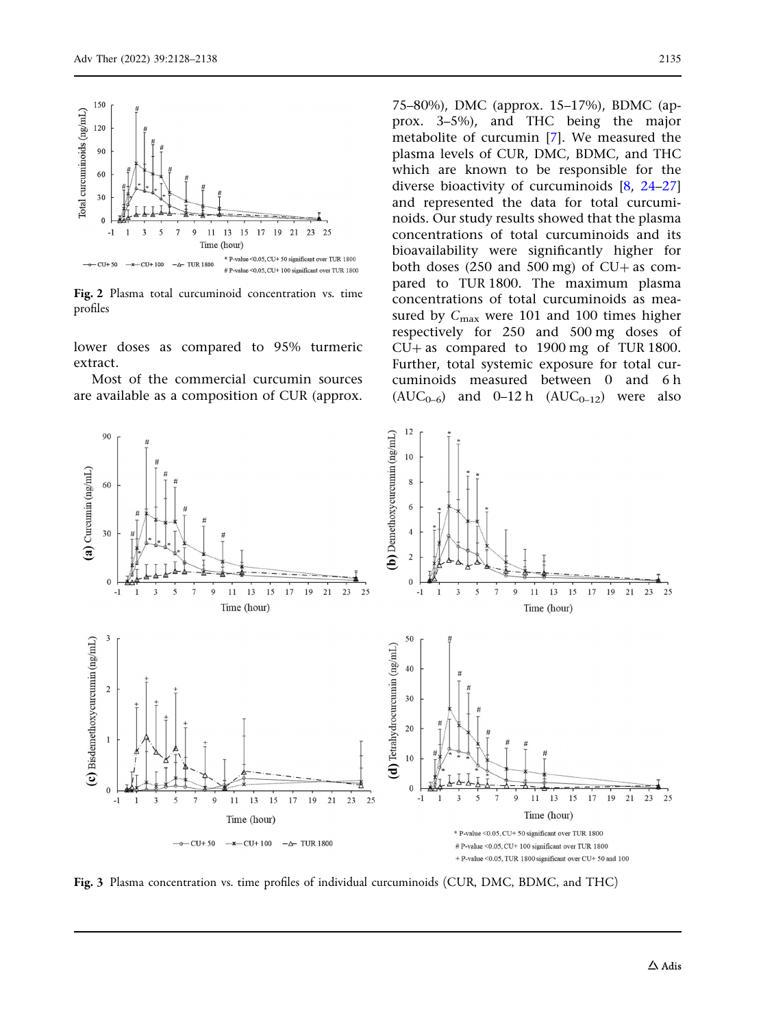<span id="page-7-0"></span>

Fig. 2 Plasma total curcuminoid concentration vs. time profiles

lower doses as compared to 95% turmeric extract.

Most of the commercial curcumin sources are available as a composition of CUR (approx. 75–80%), DMC (approx. 15–17%), BDMC (approx. 3–5%), and THC being the major metabolite of curcumin [\[7](#page-9-0)]. We measured the plasma levels of CUR, DMC, BDMC, and THC which are known to be responsible for the diverse bioactivity of curcuminoids [[8,](#page-9-0) [24–27](#page-10-0)] and represented the data for total curcuminoids. Our study results showed that the plasma concentrations of total curcuminoids and its bioavailability were significantly higher for both doses (250 and 500 mg) of  $CU +$  as compared to TUR 1800. The maximum plasma concentrations of total curcuminoids as measured by  $C_{\text{max}}$  were 101 and 100 times higher respectively for 250 and 500 mg doses of  $CU +$  as compared to 1900 mg of TUR 1800. Further, total systemic exposure for total curcuminoids measured between 0 and 6 h  $(AUC_{0-6})$  and 0–12 h  $(AUC_{0-12})$  were also



Fig. 3 Plasma concentration vs. time profiles of individual curcuminoids (CUR, DMC, BDMC, and THC)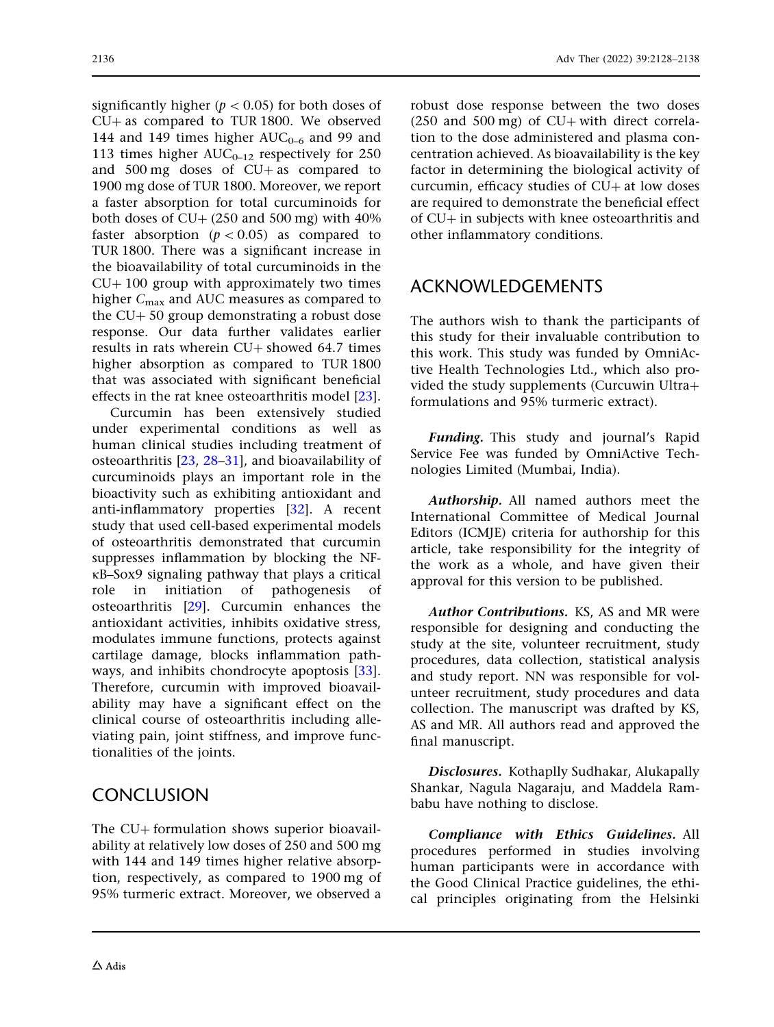significantly higher ( $p < 0.05$ ) for both doses of  $CU+$  as compared to TUR 1800. We observed 144 and 149 times higher  $AUC_{0-6}$  and 99 and 113 times higher  $AUC_{0-12}$  respectively for 250 and  $500 \text{ mg}$  doses of  $CU + as$  compared to 1900 mg dose of TUR 1800. Moreover, we report a faster absorption for total curcuminoids for both doses of  $CU + (250 \text{ and } 500 \text{ mg})$  with  $40\%$ faster absorption ( $p < 0.05$ ) as compared to TUR 1800. There was a significant increase in the bioavailability of total curcuminoids in the  $CU+100$  group with approximately two times higher  $C_{\text{max}}$  and AUC measures as compared to the  $CU + 50$  group demonstrating a robust dose response. Our data further validates earlier results in rats wherein  $CU+$  showed 64.7 times higher absorption as compared to TUR 1800 that was associated with significant beneficial effects in the rat knee osteoarthritis model [[23](#page-10-0)].

Curcumin has been extensively studied under experimental conditions as well as human clinical studies including treatment of osteoarthritis [\[23,](#page-10-0) [28–31](#page-10-0)], and bioavailability of curcuminoids plays an important role in the bioactivity such as exhibiting antioxidant and anti-inflammatory properties [\[32\]](#page-10-0). A recent study that used cell-based experimental models of osteoarthritis demonstrated that curcumin suppresses inflammation by blocking the NF- $\kappa$ B–Sox9 signaling pathway that plays a critical role in initiation of pathogenesis of osteoarthritis [\[29\]](#page-10-0). Curcumin enhances the antioxidant activities, inhibits oxidative stress, modulates immune functions, protects against cartilage damage, blocks inflammation pathways, and inhibits chondrocyte apoptosis [[33](#page-10-0)]. Therefore, curcumin with improved bioavailability may have a significant effect on the clinical course of osteoarthritis including alleviating pain, joint stiffness, and improve functionalities of the joints.

## **CONCLUSION**

The CU+ formulation shows superior bioavailability at relatively low doses of 250 and 500 mg with 144 and 149 times higher relative absorption, respectively, as compared to 1900 mg of 95% turmeric extract. Moreover, we observed a

robust dose response between the two doses  $(250$  and  $500$  mg) of CU+ with direct correlation to the dose administered and plasma concentration achieved. As bioavailability is the key factor in determining the biological activity of curcumin, efficacy studies of  $CU+$  at low doses are required to demonstrate the beneficial effect of  $CU+$  in subjects with knee osteoarthritis and other inflammatory conditions.

# ACKNOWLEDGEMENTS

The authors wish to thank the participants of this study for their invaluable contribution to this work. This study was funded by OmniActive Health Technologies Ltd., which also provided the study supplements (Curcuwin Ultra+ formulations and 95% turmeric extract).

Funding. This study and journal's Rapid Service Fee was funded by OmniActive Technologies Limited (Mumbai, India).

Authorship. All named authors meet the International Committee of Medical Journal Editors (ICMJE) criteria for authorship for this article, take responsibility for the integrity of the work as a whole, and have given their approval for this version to be published.

Author Contributions. KS, AS and MR were responsible for designing and conducting the study at the site, volunteer recruitment, study procedures, data collection, statistical analysis and study report. NN was responsible for volunteer recruitment, study procedures and data collection. The manuscript was drafted by KS, AS and MR. All authors read and approved the final manuscript.

Disclosures. Kothaplly Sudhakar, Alukapally Shankar, Nagula Nagaraju, and Maddela Rambabu have nothing to disclose.

Compliance with Ethics Guidelines. All procedures performed in studies involving human participants were in accordance with the Good Clinical Practice guidelines, the ethical principles originating from the Helsinki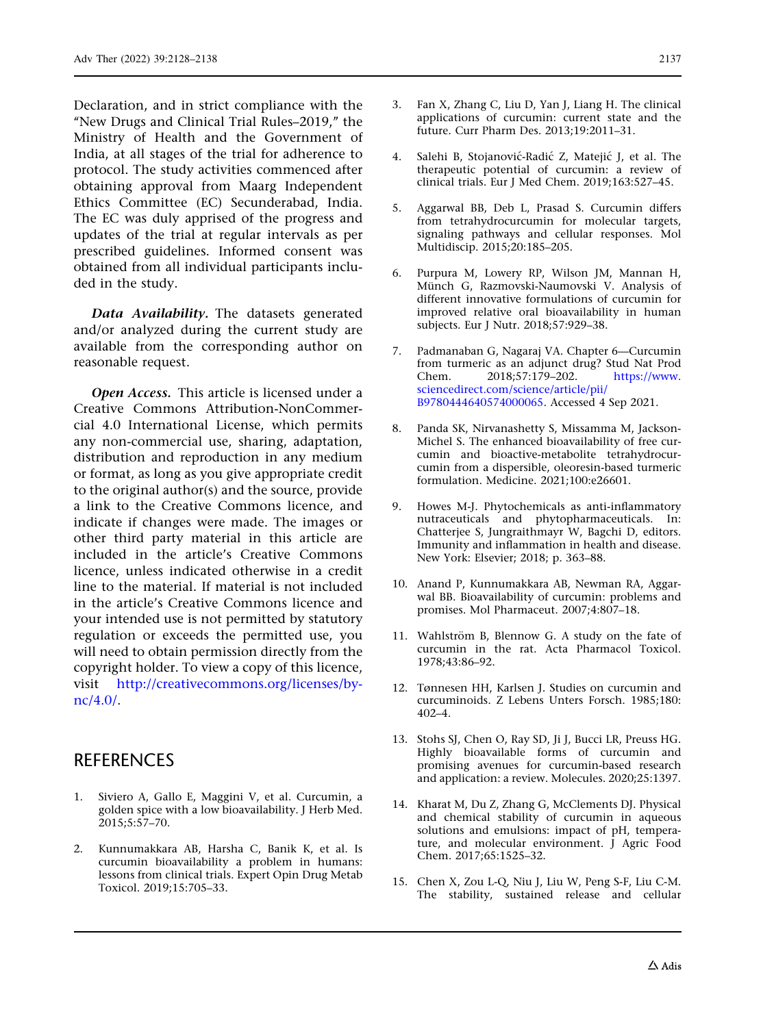<span id="page-9-0"></span>Declaration, and in strict compliance with the ''New Drugs and Clinical Trial Rules–2019,'' the Ministry of Health and the Government of India, at all stages of the trial for adherence to protocol. The study activities commenced after obtaining approval from Maarg Independent Ethics Committee (EC) Secunderabad, India. The EC was duly apprised of the progress and updates of the trial at regular intervals as per prescribed guidelines. Informed consent was obtained from all individual participants included in the study.

Data Availability. The datasets generated and/or analyzed during the current study are available from the corresponding author on reasonable request.

Open Access. This article is licensed under a Creative Commons Attribution-NonCommercial 4.0 International License, which permits any non-commercial use, sharing, adaptation, distribution and reproduction in any medium or format, as long as you give appropriate credit to the original author(s) and the source, provide a link to the Creative Commons licence, and indicate if changes were made. The images or other third party material in this article are included in the article's Creative Commons licence, unless indicated otherwise in a credit line to the material. If material is not included in the article's Creative Commons licence and your intended use is not permitted by statutory regulation or exceeds the permitted use, you will need to obtain permission directly from the copyright holder. To view a copy of this licence, visit [http://creativecommons.org/licenses/by](http://creativecommons.org/licenses/by-nc/4.0/)[nc/4.0/](http://creativecommons.org/licenses/by-nc/4.0/).

### **REFERENCES**

- 1. Siviero A, Gallo E, Maggini V, et al. Curcumin, a golden spice with a low bioavailability. J Herb Med.  $2015; 5:57-70.$
- 2. Kunnumakkara AB, Harsha C, Banik K, et al. Is curcumin bioavailability a problem in humans: lessons from clinical trials. Expert Opin Drug Metab Toxicol. 2019;15:705–33.
- 3. Fan X, Zhang C, Liu D, Yan J, Liang H. The clinical applications of curcumin: current state and the future. Curr Pharm Des. 2013;19:2011–31.
- 4. Salehi B, Stojanović-Radić Z, Matejić J, et al. The therapeutic potential of curcumin: a review of clinical trials. Eur J Med Chem. 2019;163:527–45.
- 5. Aggarwal BB, Deb L, Prasad S. Curcumin differs from tetrahydrocurcumin for molecular targets, signaling pathways and cellular responses. Mol Multidiscip. 2015;20:185–205.
- 6. Purpura M, Lowery RP, Wilson JM, Mannan H, Münch G, Razmovski-Naumovski V. Analysis of different innovative formulations of curcumin for improved relative oral bioavailability in human subjects. Eur J Nutr. 2018;57:929–38.
- 7. Padmanaban G, Nagaraj VA. Chapter 6—Curcumin from turmeric as an adjunct drug? Stud Nat Prod Chem. 2018;57:179–202. [https://www.](https://www.sciencedirect.com/science/article/pii/B9780444640574000065) [sciencedirect.com/science/article/pii/](https://www.sciencedirect.com/science/article/pii/B9780444640574000065) [B9780444640574000065](https://www.sciencedirect.com/science/article/pii/B9780444640574000065). Accessed 4 Sep 2021.
- 8. Panda SK, Nirvanashetty S, Missamma M, Jackson-Michel S. The enhanced bioavailability of free curcumin and bioactive-metabolite tetrahydrocurcumin from a dispersible, oleoresin-based turmeric formulation. Medicine. 2021;100:e26601.
- 9. Howes M-J. Phytochemicals as anti-inflammatory nutraceuticals and phytopharmaceuticals. In: Chatterjee S, Jungraithmayr W, Bagchi D, editors. Immunity and inflammation in health and disease. New York: Elsevier; 2018; p. 363–88.
- 10. Anand P, Kunnumakkara AB, Newman RA, Aggarwal BB. Bioavailability of curcumin: problems and promises. Mol Pharmaceut. 2007;4:807–18.
- 11. Wahlström B, Blennow G. A study on the fate of curcumin in the rat. Acta Pharmacol Toxicol. 1978;43:86–92.
- 12. Tønnesen HH, Karlsen J. Studies on curcumin and curcuminoids. Z Lebens Unters Forsch. 1985;180: 402–4.
- 13. Stohs SJ, Chen O, Ray SD, Ji J, Bucci LR, Preuss HG. Highly bioavailable forms of curcumin and promising avenues for curcumin-based research and application: a review. Molecules. 2020;25:1397.
- 14. Kharat M, Du Z, Zhang G, McClements DJ. Physical and chemical stability of curcumin in aqueous solutions and emulsions: impact of pH, temperature, and molecular environment. J Agric Food Chem. 2017;65:1525–32.
- 15. Chen X, Zou L-Q, Niu J, Liu W, Peng S-F, Liu C-M. The stability, sustained release and cellular